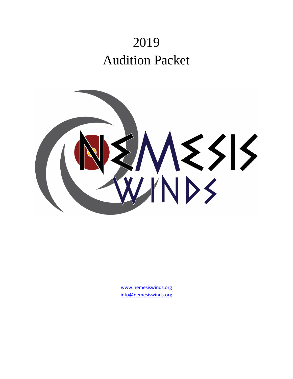# 2019 Audition Packet



www.nemesiswinds.org info@nemesiswinds.org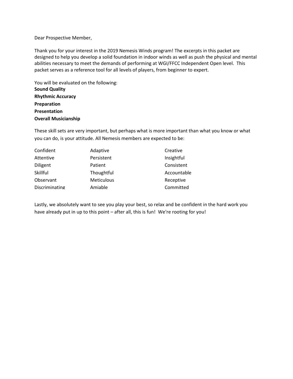#### Dear Prospective Member,

Thank you for your interest in the 2019 Nemesis Winds program! The excerpts in this packet are designed to help you develop a solid foundation in indoor winds as well as push the physical and mental abilities necessary to meet the demands of performing at WGI/FFCC Independent Open level. This packet serves as a reference tool for all levels of players, from beginner to expert.

You will be evaluated on the following: **Sound Quality Rhythmic Accuracy Preparation Presentation Overall Musicianship** 

These skill sets are very important, but perhaps what is more important than what you know or what you can do, is your attitude. All Nemesis members are expected to be:

| Confident      | Adaptive          | Creative    |
|----------------|-------------------|-------------|
| Attentive      | Persistent        | Insightful  |
| Diligent       | Patient           | Consistent  |
| Skillful       | Thoughtful        | Accountable |
| Observant      | <b>Meticulous</b> | Receptive   |
| Discriminating | Amiable           | Committed   |

Lastly, we absolutely want to see you play your best, so relax and be confident in the hard work you have already put in up to this point – after all, this is fun! We're rooting for you!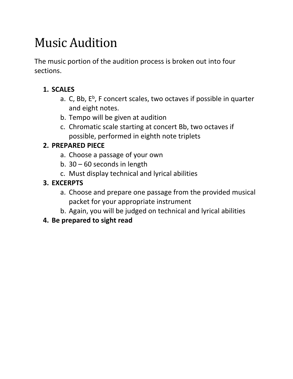## Music Audition

The music portion of the audition process is broken out into four sections.

## **1. SCALES**

- a. C, Bb, E<sup>b</sup>, F concert scales, two octaves if possible in quarter and eight notes.
- b. Tempo will be given at audition
- c. Chromatic scale starting at concert Bb, two octaves if possible, performed in eighth note triplets

## **2. PREPARED PIECE**

- a. Choose a passage of your own
- b. 30 60 seconds in length
- c. Must display technical and lyrical abilities

## **3. EXCERPTS**

- a. Choose and prepare one passage from the provided musical packet for your appropriate instrument
- b. Again, you will be judged on technical and lyrical abilities

## **4. Be prepared to sight read**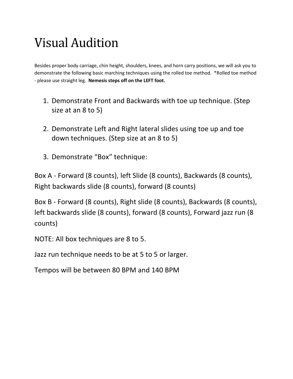## Visual Audition

Besides proper body carriage, chin height, shoulders, knees, and horn carry positions, we will ask you to demonstrate the following basic marching techniques using the rolled toe method. \*Rolled toe method - please use straight leg. **Nemesis steps off on the LEFT foot.**

- 1. Demonstrate Front and Backwards with toe up technique. (Step size at an 8 to 5)
- 2. Demonstrate Left and Right lateral slides using toe up and toe down techniques. (Step size at an 8 to 5)
- 3. Demonstrate "Box" technique:

Box A - Forward (8 counts), left Slide (8 counts), Backwards (8 counts), Right backwards slide (8 counts), forward (8 counts)

Box B - Forward (8 counts), Right slide (8 counts), Backwards (8 counts), left backwards slide (8 counts), forward (8 counts), Forward jazz run (8 counts)

NOTE: All box techniques are 8 to 5.

Jazz run technique needs to be at 5 to 5 or larger.

Tempos will be between 80 BPM and 140 BPM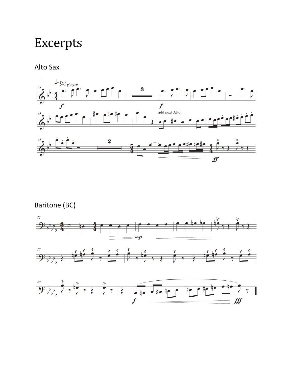## Excerpts

Alto Sax



### Baritone (BC)

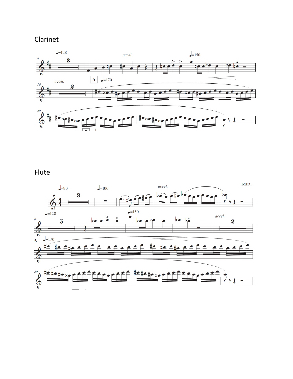### Clarinet



Flute

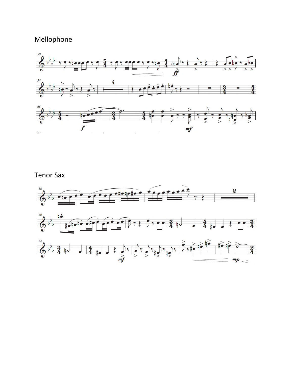#### Mellophone



#### Tenor Sax

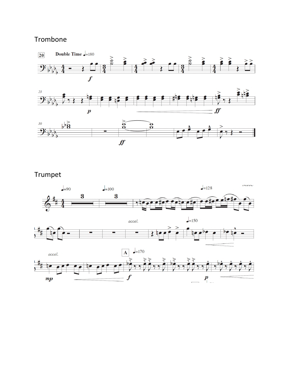### Trombone



Trumpet

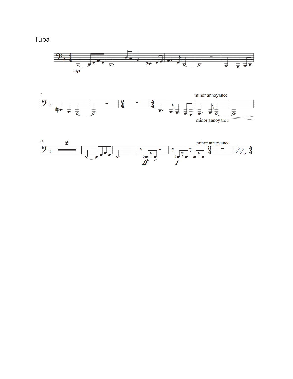